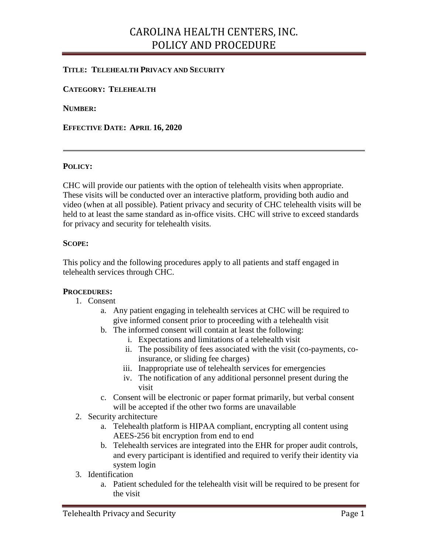## CAROLINA HEALTH CENTERS, INC. POLICY AND PROCEDURE

## **TITLE: TELEHEALTH PRIVACY AND SECURITY**

**CATEGORY: TELEHEALTH**

**NUMBER:** 

**EFFECTIVE DATE: APRIL 16, 2020**

#### **POLICY:**

CHC will provide our patients with the option of telehealth visits when appropriate. These visits will be conducted over an interactive platform, providing both audio and video (when at all possible). Patient privacy and security of CHC telehealth visits will be held to at least the same standard as in-office visits. CHC will strive to exceed standards for privacy and security for telehealth visits.

### **SCOPE:**

This policy and the following procedures apply to all patients and staff engaged in telehealth services through CHC.

#### **PROCEDURES:**

- 1. Consent
	- a. Any patient engaging in telehealth services at CHC will be required to give informed consent prior to proceeding with a telehealth visit
	- b. The informed consent will contain at least the following:
		- i. Expectations and limitations of a telehealth visit
		- ii. The possibility of fees associated with the visit (co-payments, coinsurance, or sliding fee charges)
		- iii. Inappropriate use of telehealth services for emergencies
		- iv. The notification of any additional personnel present during the visit
	- c. Consent will be electronic or paper format primarily, but verbal consent will be accepted if the other two forms are unavailable
- 2. Security architecture
	- a. Telehealth platform is HIPAA compliant, encrypting all content using AEES-256 bit encryption from end to end
	- b. Telehealth services are integrated into the EHR for proper audit controls, and every participant is identified and required to verify their identity via system login
- 3. Identification
	- a. Patient scheduled for the telehealth visit will be required to be present for the visit